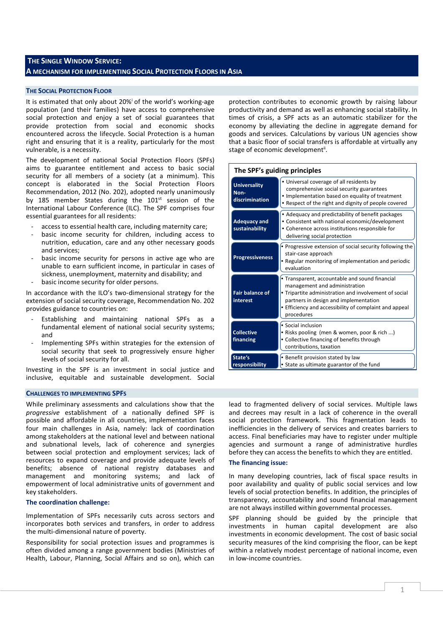# **THE SINGLE WINDOW SERVICE: A MECHANISM FOR IMPLEMENTING SOCIAL PROTECTION FLOORS IN ASIA**

# **THE SOCIAL PROTECTION FLOOR**

It is estimated that only about 20%<sup>i</sup> of the world's working-age population (and their families) have access to comprehensive social protection and enjoy a set of social guarantees that provide protection from social and economic shocks encountered across the lifecycle. Social Protection is a human right and ensuring that it is a reality, particularly for the most vulnerable, is a necessity.

The development of national Social Protection Floors (SPFs) aims to guarantee entitlement and access to basic social security for all members of a society (at a minimum). This concept is elaborated in the Social Protection Floors Recommendation, 2012 (No. 202), adopted nearly unanimously by 185 member States during the  $101<sup>st</sup>$  session of the International Labour Conference (ILC). The SPF comprises four essential guarantees for all residents:

- access to essential health care, including maternity care;
- basic income security for children, including access to nutrition, education, care and any other necessary goods and services;
- basic income security for persons in active age who are unable to earn sufficient income, in particular in cases of sickness, unemployment, maternity and disability; and
- basic income security for older persons.

In accordance with the ILO's two-dimensional strategy for the extension of social security coverage, Recommendation No. 202 provides guidance to countries on:

- Establishing and maintaining national SPFs as a fundamental element of national social security systems; and
- Implementing SPFs within strategies for the extension of social security that seek to progressively ensure higher levels of social security for all.

Investing in the SPF is an investment in social justice and inclusive, equitable and sustainable development. Social

## **CHALLENGES TO IMPLEMENTING SPFS**

While preliminary assessments and calculations show that the *progressive* establishment of a nationally defined SPF is possible and affordable in all countries, implementation faces four main challenges in Asia, namely: lack of coordination among stakeholders at the national level and between national and subnational levels, lack of coherence and synergies between social protection and employment services; lack of resources to expand coverage and provide adequate levels of benefits; absence of national registry databases and management and monitoring systems; and lack of empowerment of local administrative units of government and key stakeholders.

# **The coordination challenge:**

Implementation of SPFs necessarily cuts across sectors and incorporates both services and transfers, in order to address the multi-dimensional nature of poverty.

Responsibility for social protection issues and programmes is often divided among a range government bodies (Ministries of Health, Labour, Planning, Social Affairs and so on), which can protection contributes to economic growth by raising labour productivity and demand as well as enhancing social stability. In times of crisis, a SPF acts as an automatic stabilizer for the economy by alleviating the decline in aggregate demand for goods and services. Calculations by various UN agencies show that a basic floor of social transfers is affordable at virtually any stage of economic development<sup>ii</sup>.

| The SPF's guiding principles                  |                                                                                                                                                                                                                                                           |
|-----------------------------------------------|-----------------------------------------------------------------------------------------------------------------------------------------------------------------------------------------------------------------------------------------------------------|
| <b>Universality</b><br>Non-<br>discrimination | • Universal coverage of all residents by<br>comprehensive social security guarantees<br>• Implementation based on equality of treatment<br>• Respect of the right and dignity of people covered                                                           |
| <b>Adequacy and</b><br>sustainability         | • Adequacy and predictability of benefit packages<br>• Consistent with national economic/development<br>• Coherence across institutions responsible for<br>delivering social protection                                                                   |
| <b>Progressiveness</b>                        | • Progressive extension of social security following the<br>stair-case approach<br>• Regular monitoring of implementation and periodic<br>evaluation                                                                                                      |
| <b>Fair balance of</b><br>interest            | • Transparent, accountable and sound financial<br>management and administration<br>• Tripartite administration and involvement of social<br>partners in design and implementation<br>• Efficiency and accessibility of complaint and appeal<br>procedures |
| <b>Collective</b><br>financing                | • Social inclusion<br>• Risks pooling (men & women, poor & rich )<br>• Collective financing of benefits through<br>contributions, taxation                                                                                                                |
| State's<br>responsibility                     | Benefit provision stated by law<br>• State as ultimate guarantor of the fund                                                                                                                                                                              |

lead to fragmented delivery of social services. Multiple laws and decrees may result in a lack of coherence in the overall social protection framework. This fragmentation leads to inefficiencies in the delivery of services and creates barriers to access. Final beneficiaries may have to register under multiple agencies and surmount a range of administrative hurdles before they can access the benefits to which they are entitled.

### **The financing issue:**

In many developing countries, lack of fiscal space results in poor availability and quality of public social services and low levels of social protection benefits. In addition, the principles of transparency, accountability and sound financial management are not always instilled within governmental processes.

SPF planning should be guided by the principle that investments in human capital development are also investments in economic development. The cost of basic social security measures of the kind comprising the floor, can be kept within a relatively modest percentage of national income, even in low-income countries.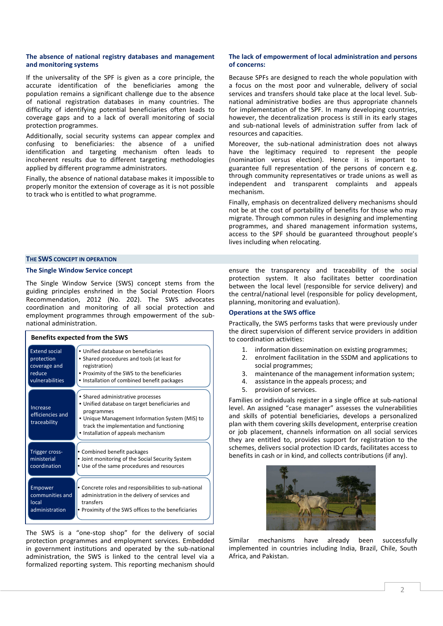### **The absence of national registry databases and management and monitoring systems**

If the universality of the SPF is given as a core principle, the accurate identification of the beneficiaries among the population remains a significant challenge due to the absence of national registration databases in many countries. The difficulty of identifying potential beneficiaries often leads to coverage gaps and to a lack of overall monitoring of social protection programmes.

Additionally, social security systems can appear complex and confusing to beneficiaries: the absence of a unified identification and targeting mechanism often leads to incoherent results due to different targeting methodologies applied by different programme administrators.

Finally, the absence of national database makes it impossible to properly monitor the extension of coverage as it is not possible to track who is entitled to what programme.

# **The lack of empowerment of local administration and persons of concerns:**

Because SPFs are designed to reach the whole population with a focus on the most poor and vulnerable, delivery of social services and transfers should take place at the local level. Subnational administrative bodies are thus appropriate channels for implementation of the SPF. In many developing countries, however, the decentralization process is still in its early stages and sub-national levels of administration suffer from lack of resources and capacities.

Moreover, the sub-national administration does not always have the legitimacy required to represent the people (nomination versus election). Hence it is important to guarantee full representation of the persons of concern e.g. through community representatives or trade unions as well as independent and transparent complaints and appeals mechanism.

Finally, emphasis on decentralized delivery mechanisms should not be at the cost of portability of benefits for those who may migrate. Through common rules in designing and implementing programmes, and shared management information systems, access to the SPF should be guaranteed throughout people's lives including when relocating.

# **THE SWS CONCEPT IN OPERATION**

# **The Single Window Service concept**

The Single Window Service (SWS) concept stems from the guiding principles enshrined in the Social Protection Floors Recommendation, 2012 (No. 202). The SWS advocates coordination and monitoring of all social protection and employment programmes through empowerment of the subnational administration.

| <b>Benefits expected from the SWS</b>        |                                                                                                                                                                                                                                         |  |
|----------------------------------------------|-----------------------------------------------------------------------------------------------------------------------------------------------------------------------------------------------------------------------------------------|--|
| <b>Extend social</b>                         | • Unified database on beneficiaries                                                                                                                                                                                                     |  |
| protection                                   | • Shared procedures and tools (at least for                                                                                                                                                                                             |  |
| coverage and                                 | registration)                                                                                                                                                                                                                           |  |
| reduce                                       | • Proximity of the SWS to the beneficiaries                                                                                                                                                                                             |  |
| vulnerabilities                              | Installation of combined benefit packages                                                                                                                                                                                               |  |
| Increase<br>efficiencies and<br>traceability | • Shared administrative processes<br>• Unified database on target beneficiaries and<br>programmes<br>• Unique Management Information System (MIS) to<br>track the implementation and functioning<br>• Installation of appeals mechanism |  |
| Trigger cross-                               | • Combined benefit packages                                                                                                                                                                                                             |  |
| ministerial                                  | • Joint monitoring of the Social Security System                                                                                                                                                                                        |  |
| coordination                                 | • Use of the same procedures and resources                                                                                                                                                                                              |  |
| Empower                                      | • Concrete roles and responsibilities to sub-national                                                                                                                                                                                   |  |
| communities and                              | administration in the delivery of services and                                                                                                                                                                                          |  |
| local                                        | transfers                                                                                                                                                                                                                               |  |
| administration                               | • Proximity of the SWS offices to the beneficiaries                                                                                                                                                                                     |  |

The SWS is a "one-stop shop" for the delivery of social protection programmes and employment services. Embedded in government institutions and operated by the sub-national administration, the SWS is linked to the central level via a formalized reporting system. This reporting mechanism should ensure the transparency and traceability of the social protection system. It also facilitates better coordination between the local level (responsible for service delivery) and the central/national level (responsible for policy development, planning, monitoring and evaluation).

# **Operations at the SWS office**

Practically, the SWS performs tasks that were previously under the direct supervision of different service providers in addition to coordination activities:

- 1. information dissemination on existing programmes;
- 2. enrolment facilitation in the SSDM and applications to social programmes;
- 3. maintenance of the management information system;
- 4. assistance in the appeals process; and
- 5. provision of services.

Families or individuals register in a single office at sub-national level. An assigned "case manager" assesses the vulnerabilities and skills of potential beneficiaries, develops a personalized plan with them covering skills development, enterprise creation or job placement, channels information on all social services they are entitled to, provides support for registration to the schemes, delivers social protection ID cards, facilitates access to benefits in cash or in kind, and collects contributions (if any).



Similar mechanisms have already been successfully implemented in countries including India, Brazil, Chile, South Africa, and Pakistan.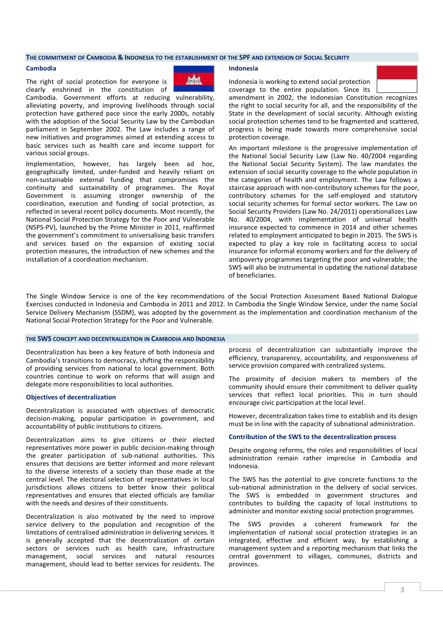#### **THE COMMITMENT OF CAMBODIA & INDONESIA TO THE ESTABLISHMENT OF THE SPF AND EXTENSION OF SOCIAL SECURITY**

#### **Cambodia**

The right of social protection for everyone is clearly enshrined in the constitution of



Cambodia. Government efforts at reducing vulnerability, alleviating poverty, and improving livelihoods through social protection have gathered pace since the early 2000s, notably with the adoption of the Social Security Law by the Cambodian parliament in September 2002. The Law includes a range of new initiatives and programmes aimed at extending access to basic services such as health care and income support for various social groups.

Implementation, however, has largely been ad hoc, geographically limited, under-funded and heavily reliant on non-sustainable external funding that compromises the continuity and sustainability of programmes. The Royal Government is assuming stronger ownership of the coordination, execution and funding of social protection, as reflected in several recent policy documents. Most recently, the National Social Protection Strategy for the Poor and Vulnerable (NSPS-PV), launched by the Prime Minister in 2011, reaffirmed the government's commitment to universalising basic transfers and services based on the expansion of existing social protection measures, the introduction of new schemes and the installation of a coordination mechanism.

### **Indonesia**

Indonesia is working to extend social protection coverage to the entire population. Since its



amendment in 2002, the Indonesian Constitution recognizes the right to social security for all, and the responsibility of the State in the development of social security. Although existing social protection schemes tend to be fragmented and scattered, progress is being made towards more comprehensive social protection coverage.

An important milestone is the progressive implementation of the National Social Security Law (Law No. 40/2004 regarding the National Social Security System). The law mandates the extension of social security coverage to the whole population in the categories of health and employment. The Law follows a staircase approach with non-contributory schemes for the poor, contributory schemes for the self-employed and statutory social security schemes for formal sector workers. The Law on Social Security Providers (Law No. 24/2011) operationalizes Law No. 40/2004, with implementation of universal health insurance expected to commence in 2014 and other schemes related to employment anticipated to begin in 2015. The SWS is expected to play a key role in facilitating access to social insurance for informal economy workers and for the delivery of antipoverty programmes targeting the poor and vulnerable; the SWS will also be instrumental in updating the national database of beneficiaries.

The Single Window Service is one of the key recommendations of the Social Protection Assessment Based National Dialogue Exercises conducted in Indonesia and Cambodia in 2011 and 2012. In Cambodia the Single Window Service, under the name Social Service Delivery Mechanism (SSDM), was adopted by the government as the implementation and coordination mechanism of the National Social Protection Strategy for the Poor and Vulnerable.

### **THE SWS CONCEPT AND DECENTRALIZATION IN CAMBODIA AND INDONESIA**

Decentralization has been a key feature of both Indonesia and Cambodia's transitions to democracy, shifting the responsibility of providing services from national to local government. Both countries continue to work on reforms that will assign and delegate more responsibilities to local authorities.

#### **Objectives of decentralization**

Decentralization is associated with objectives of democratic decision-making, popular participation in government, and accountability of public institutions to citizens.

Decentralization aims to give citizens or their elected representatives more power in public decision-making through the greater participation of sub-national authorities. This ensures that decisions are better informed and more relevant to the diverse interests of a society than those made at the central level. The electoral selection of representatives in local jurisdictions allows citizens to better know their political representatives and ensures that elected officials are familiar with the needs and desires of their constituents.

Decentralization is also motivated by the need to improve service delivery to the population and recognition of the limitations of centralised administration in delivering services. It is generally accepted that the decentralization of certain sectors or services such as health care, infrastructure management, social services and natural resources management, should lead to better services for residents. The

process of decentralization can substantially improve the efficiency, transparency, accountability, and responsiveness of service provision compared with centralized systems.

The proximity of decision makers to members of the community should ensure their commitment to deliver quality services that reflect local priorities. This in turn should encourage civic participation at the local level.

However, decentralization takes time to establish and its design must be in line with the capacity of subnational administration.

#### **Contribution of the SWS to the decentralization process**

Despite ongoing reforms, the roles and responsibilities of local administration remain rather imprecise in Cambodia and Indonesia.

The SWS has the potential to give concrete functions to the sub-national administration in the delivery of social services. The SWS is embedded in government structures and contributes to building the capacity of local institutions to administer and monitor existing social protection programmes.

The SWS provides a coherent framework for the implementation of national social protection strategies in an integrated, effective and efficient way, by establishing a management system and a reporting mechanism that links the central government to villages, communes, districts and provinces.